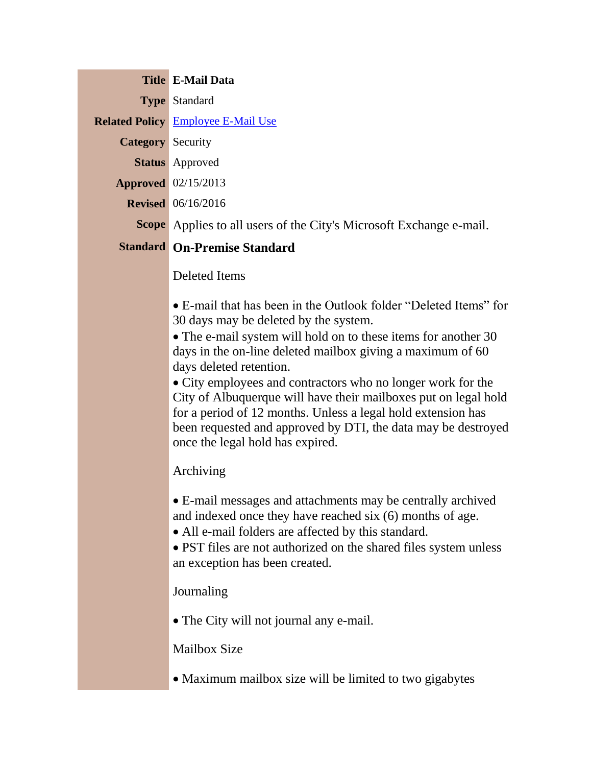|                          | <b>Title E-Mail Data</b>                                                   |
|--------------------------|----------------------------------------------------------------------------|
|                          | <b>Type Standard</b>                                                       |
|                          | <b>Related Policy Employee E-Mail Use</b>                                  |
| <b>Category</b> Security |                                                                            |
|                          | <b>Status</b> Approved                                                     |
|                          | <b>Approved</b> 02/15/2013                                                 |
|                          | <b>Revised</b> 06/16/2016                                                  |
|                          | <b>Scope</b> Applies to all users of the City's Microsoft Exchange e-mail. |
|                          | <b>Standard On-Premise Standard</b>                                        |

Deleted Items

E-mail that has been in the Outlook folder "Deleted Items" for 30 days may be deleted by the system.

The e-mail system will hold on to these items for another 30 days in the on-line deleted mailbox giving a maximum of 60 days deleted retention.

City employees and contractors who no longer work for the City of Albuquerque will have their mailboxes put on legal hold for a period of 12 months. Unless a legal hold extension has been requested and approved by DTI, the data may be destroyed once the legal hold has expired.

Archiving

E-mail messages and attachments may be centrally archived and indexed once they have reached six (6) months of age.

All e-mail folders are affected by this standard.

• PST files are not authorized on the shared files system unless an exception has been created.

Journaling

The City will not journal any e-mail.

Mailbox Size

• Maximum mailbox size will be limited to two gigabytes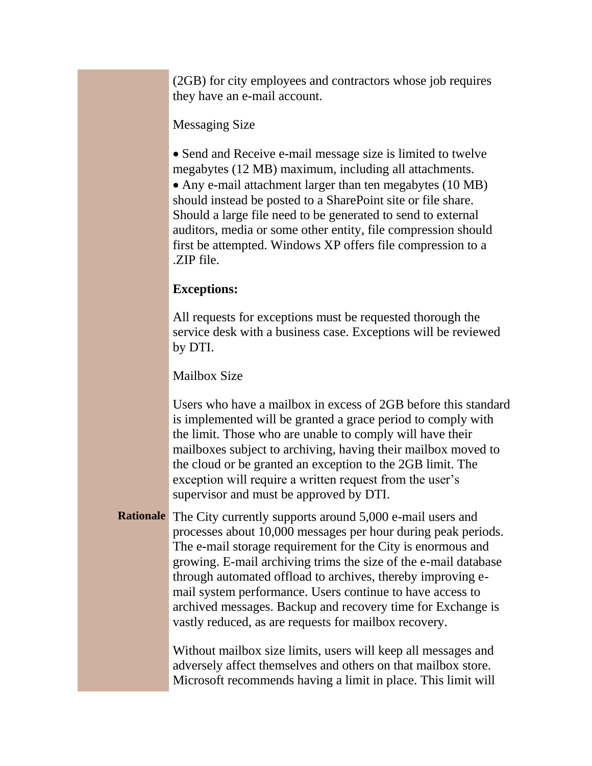(2GB) for city employees and contractors whose job requires they have an e-mail account.

## Messaging Size

• Send and Receive e-mail message size is limited to twelve megabytes (12 MB) maximum, including all attachments. • Any e-mail attachment larger than ten megabytes (10 MB) should instead be posted to a SharePoint site or file share. Should a large file need to be generated to send to external auditors, media or some other entity, file compression should first be attempted. Windows XP offers file compression to a .ZIP file.

## **Exceptions:**

All requests for exceptions must be requested thorough the service desk with a business case. Exceptions will be reviewed by DTI.

Mailbox Size

Users who have a mailbox in excess of 2GB before this standard is implemented will be granted a grace period to comply with the limit. Those who are unable to comply will have their mailboxes subject to archiving, having their mailbox moved to the cloud or be granted an exception to the 2GB limit. The exception will require a written request from the user's supervisor and must be approved by DTI.

**Rationale** The City currently supports around 5,000 e-mail users and processes about 10,000 messages per hour during peak periods. The e-mail storage requirement for the City is enormous and growing. E-mail archiving trims the size of the e-mail database through automated offload to archives, thereby improving email system performance. Users continue to have access to archived messages. Backup and recovery time for Exchange is vastly reduced, as are requests for mailbox recovery.

> Without mailbox size limits, users will keep all messages and adversely affect themselves and others on that mailbox store. Microsoft recommends having a limit in place. This limit will